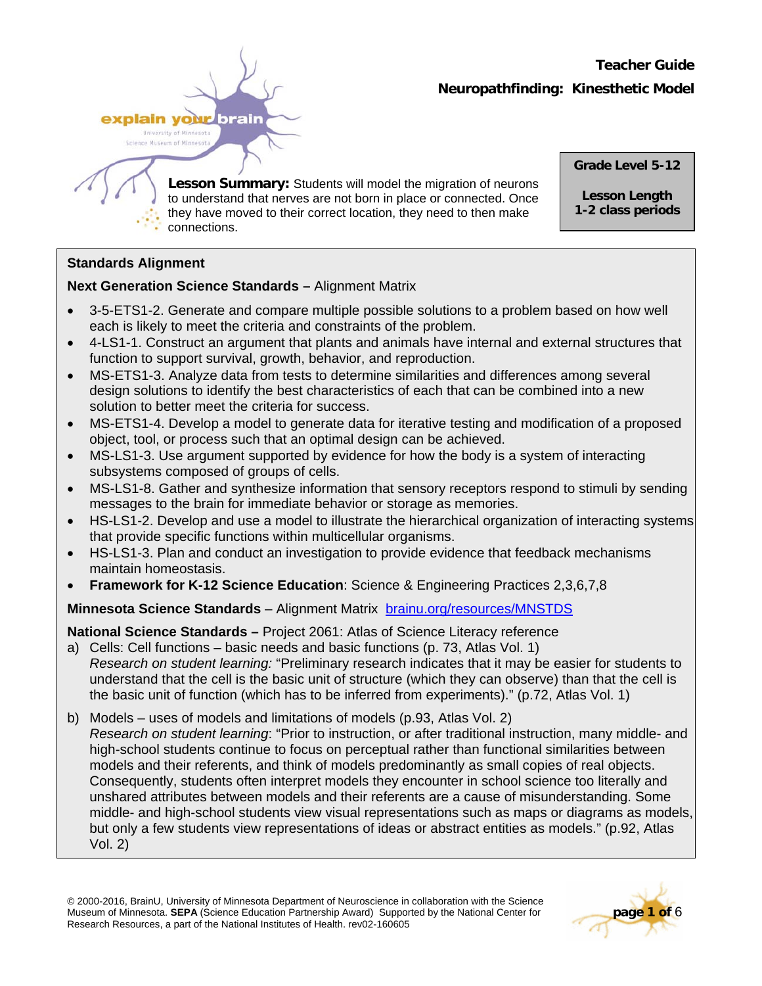# **Teacher Guide Neuropathfinding: Kinesthetic Model**



**Lesson Summary:** Students will model the migration of neurons to understand that nerves are not born in place or connected. Once they have moved to their correct location, they need to then make connections.

**Grade Level 5-12** 

**Lesson Length 1-2 class periods**

# **Standards Alignment**

# **Next Generation Science Standards –** Alignment Matrix

- 3-5-ETS1-2. Generate and compare multiple possible solutions to a problem based on how well each is likely to meet the criteria and constraints of the problem.
- 4-LS1-1. Construct an argument that plants and animals have internal and external structures that function to support survival, growth, behavior, and reproduction.
- MS-ETS1-3. Analyze data from tests to determine similarities and differences among several design solutions to identify the best characteristics of each that can be combined into a new solution to better meet the criteria for success.
- MS-ETS1-4. Develop a model to generate data for iterative testing and modification of a proposed object, tool, or process such that an optimal design can be achieved.
- MS-LS1-3. Use argument supported by evidence for how the body is a system of interacting subsystems composed of groups of cells.
- MS-LS1-8. Gather and synthesize information that sensory receptors respond to stimuli by sending messages to the brain for immediate behavior or storage as memories.
- HS-LS1-2. Develop and use a model to illustrate the hierarchical organization of interacting systems that provide specific functions within multicellular organisms.
- HS-LS1-3. Plan and conduct an investigation to provide evidence that feedback mechanisms maintain homeostasis.
- **Framework for K-12 Science Education**: Science & Engineering Practices 2,3,6,7,8

# **Minnesota Science Standards** – Alignment Matrix [brainu.org/resources/MNSTDS](http://brainu.org/resources/MNSTDS)

**National Science Standards –** Project 2061: Atlas of Science Literacy reference

- a) Cells: Cell functions basic needs and basic functions (p. 73, Atlas Vol. 1) *Research on student learning:* "Preliminary research indicates that it may be easier for students to understand that the cell is the basic unit of structure (which they can observe) than that the cell is the basic unit of function (which has to be inferred from experiments)." (p.72, Atlas Vol. 1)
- b) Models uses of models and limitations of models (p.93, Atlas Vol. 2) *Research on student learning*: "Prior to instruction, or after traditional instruction, many middle- and high-school students continue to focus on perceptual rather than functional similarities between models and their referents, and think of models predominantly as small copies of real objects. Consequently, students often interpret models they encounter in school science too literally and unshared attributes between models and their referents are a cause of misunderstanding. Some middle- and high-school students view visual representations such as maps or diagrams as models, but only a few students view representations of ideas or abstract entities as models." (p.92, Atlas Vol. 2)

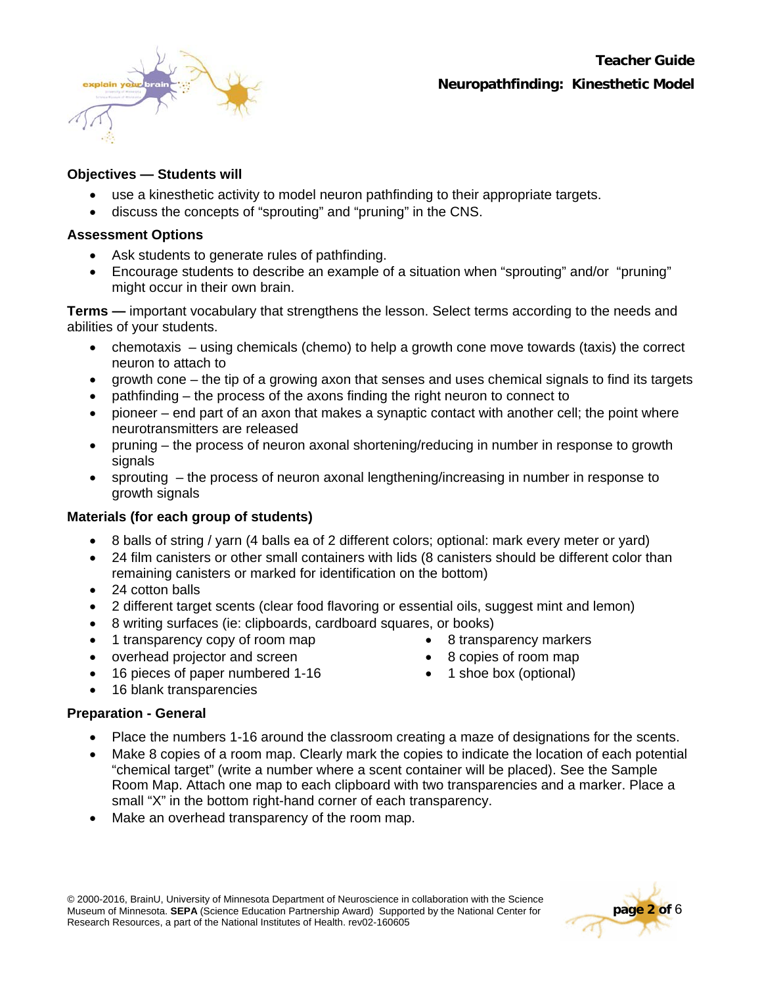

### **Objectives — Students will**

- use a kinesthetic activity to model neuron pathfinding to their appropriate targets.
- discuss the concepts of "sprouting" and "pruning" in the CNS.

#### **Assessment Options**

- Ask students to generate rules of pathfinding.
- Encourage students to describe an example of a situation when "sprouting" and/or "pruning" might occur in their own brain.

**Terms —** important vocabulary that strengthens the lesson. Select terms according to the needs and abilities of your students.

- chemotaxis using chemicals (chemo) to help a growth cone move towards (taxis) the correct neuron to attach to
- growth cone the tip of a growing axon that senses and uses chemical signals to find its targets
- pathfinding the process of the axons finding the right neuron to connect to
- pioneer end part of an axon that makes a synaptic contact with another cell; the point where neurotransmitters are released
- pruning the process of neuron axonal shortening/reducing in number in response to growth signals
- sprouting the process of neuron axonal lengthening/increasing in number in response to growth signals

### **Materials (for each group of students)**

- 8 balls of string / yarn (4 balls ea of 2 different colors; optional: mark every meter or yard)
- 24 film canisters or other small containers with lids (8 canisters should be different color than remaining canisters or marked for identification on the bottom)
- 24 cotton balls
- 2 different target scents (clear food flavoring or essential oils, suggest mint and lemon)
- 8 writing surfaces (ie: clipboards, cardboard squares, or books)
- 1 transparency copy of room map
- overhead projector and screen
- 8 transparency markers
- 8 copies of room map • 1 shoe box (optional)
- 16 pieces of paper numbered 1-16
- 16 blank transparencies

## **Preparation - General**

- Place the numbers 1-16 around the classroom creating a maze of designations for the scents.
- Make 8 copies of a room map. Clearly mark the copies to indicate the location of each potential "chemical target" (write a number where a scent container will be placed). See the Sample Room Map. Attach one map to each clipboard with two transparencies and a marker. Place a small "X" in the bottom right-hand corner of each transparency.
- Make an overhead transparency of the room map.

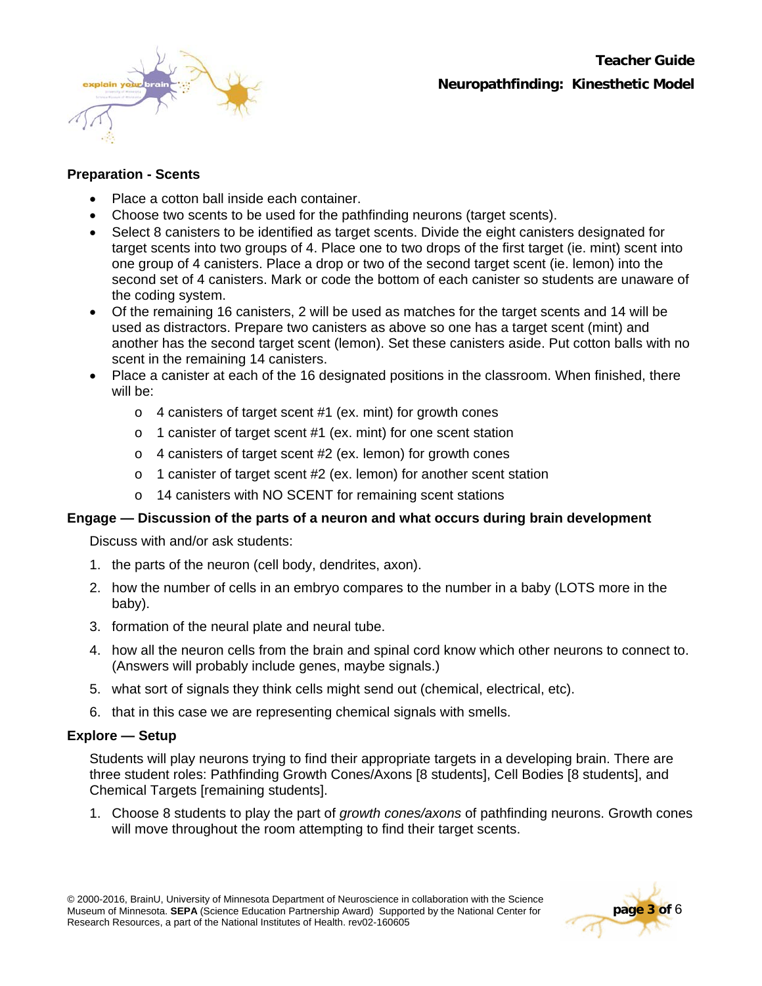

### **Preparation - Scents**

- Place a cotton ball inside each container.
- Choose two scents to be used for the pathfinding neurons (target scents).
- Select 8 canisters to be identified as target scents. Divide the eight canisters designated for target scents into two groups of 4. Place one to two drops of the first target (ie. mint) scent into one group of 4 canisters. Place a drop or two of the second target scent (ie. lemon) into the second set of 4 canisters. Mark or code the bottom of each canister so students are unaware of the coding system.
- Of the remaining 16 canisters, 2 will be used as matches for the target scents and 14 will be used as distractors. Prepare two canisters as above so one has a target scent (mint) and another has the second target scent (lemon). Set these canisters aside. Put cotton balls with no scent in the remaining 14 canisters.
- Place a canister at each of the 16 designated positions in the classroom. When finished, there will be:
	- o 4 canisters of target scent #1 (ex. mint) for growth cones
	- o 1 canister of target scent #1 (ex. mint) for one scent station
	- o 4 canisters of target scent #2 (ex. lemon) for growth cones
	- o 1 canister of target scent #2 (ex. lemon) for another scent station
	- o 14 canisters with NO SCENT for remaining scent stations

### **Engage — Discussion of the parts of a neuron and what occurs during brain development**

Discuss with and/or ask students:

- 1. the parts of the neuron (cell body, dendrites, axon).
- 2. how the number of cells in an embryo compares to the number in a baby (LOTS more in the baby).
- 3. formation of the neural plate and neural tube.
- 4. how all the neuron cells from the brain and spinal cord know which other neurons to connect to. (Answers will probably include genes, maybe signals.)
- 5. what sort of signals they think cells might send out (chemical, electrical, etc).
- 6. that in this case we are representing chemical signals with smells.

#### **Explore — Setup**

Students will play neurons trying to find their appropriate targets in a developing brain. There are three student roles: Pathfinding Growth Cones/Axons [8 students], Cell Bodies [8 students], and Chemical Targets [remaining students].

1. Choose 8 students to play the part of *growth cones/axons* of pathfinding neurons. Growth cones will move throughout the room attempting to find their target scents.

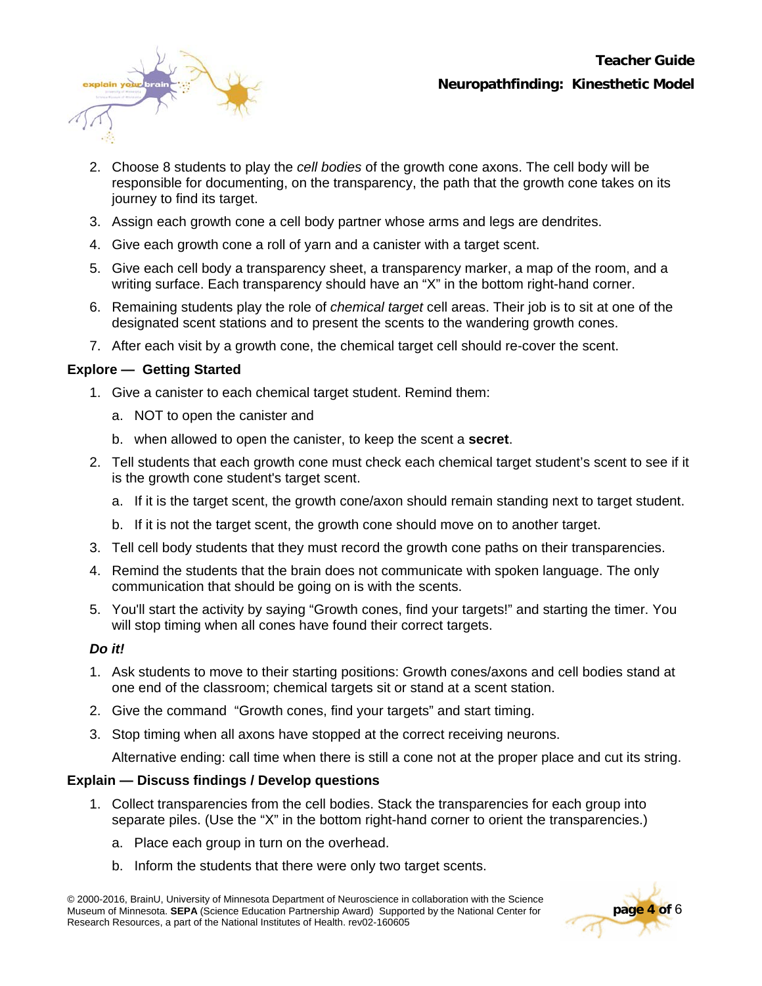

- 2. Choose 8 students to play the *cell bodies* of the growth cone axons. The cell body will be responsible for documenting, on the transparency, the path that the growth cone takes on its journey to find its target.
- 3. Assign each growth cone a cell body partner whose arms and legs are dendrites.
- 4. Give each growth cone a roll of yarn and a canister with a target scent.
- 5. Give each cell body a transparency sheet, a transparency marker, a map of the room, and a writing surface. Each transparency should have an "X" in the bottom right-hand corner.
- 6. Remaining students play the role of *chemical target* cell areas. Their job is to sit at one of the designated scent stations and to present the scents to the wandering growth cones.
- 7. After each visit by a growth cone, the chemical target cell should re-cover the scent.

## **Explore — Getting Started**

- 1. Give a canister to each chemical target student. Remind them:
	- a. NOT to open the canister and
	- b. when allowed to open the canister, to keep the scent a **secret**.
- 2. Tell students that each growth cone must check each chemical target student's scent to see if it is the growth cone student's target scent.
	- a. If it is the target scent, the growth cone/axon should remain standing next to target student.
	- b. If it is not the target scent, the growth cone should move on to another target.
- 3. Tell cell body students that they must record the growth cone paths on their transparencies.
- 4. Remind the students that the brain does not communicate with spoken language. The only communication that should be going on is with the scents.
- 5. You'll start the activity by saying "Growth cones, find your targets!" and starting the timer. You will stop timing when all cones have found their correct targets.

### *Do it!*

- 1. Ask students to move to their starting positions: Growth cones/axons and cell bodies stand at one end of the classroom; chemical targets sit or stand at a scent station.
- 2. Give the command "Growth cones, find your targets" and start timing.
- 3. Stop timing when all axons have stopped at the correct receiving neurons.

Alternative ending: call time when there is still a cone not at the proper place and cut its string.

### **Explain — Discuss findings / Develop questions**

- 1. Collect transparencies from the cell bodies. Stack the transparencies for each group into separate piles. (Use the "X" in the bottom right-hand corner to orient the transparencies.)
	- a. Place each group in turn on the overhead.
	- b. Inform the students that there were only two target scents.

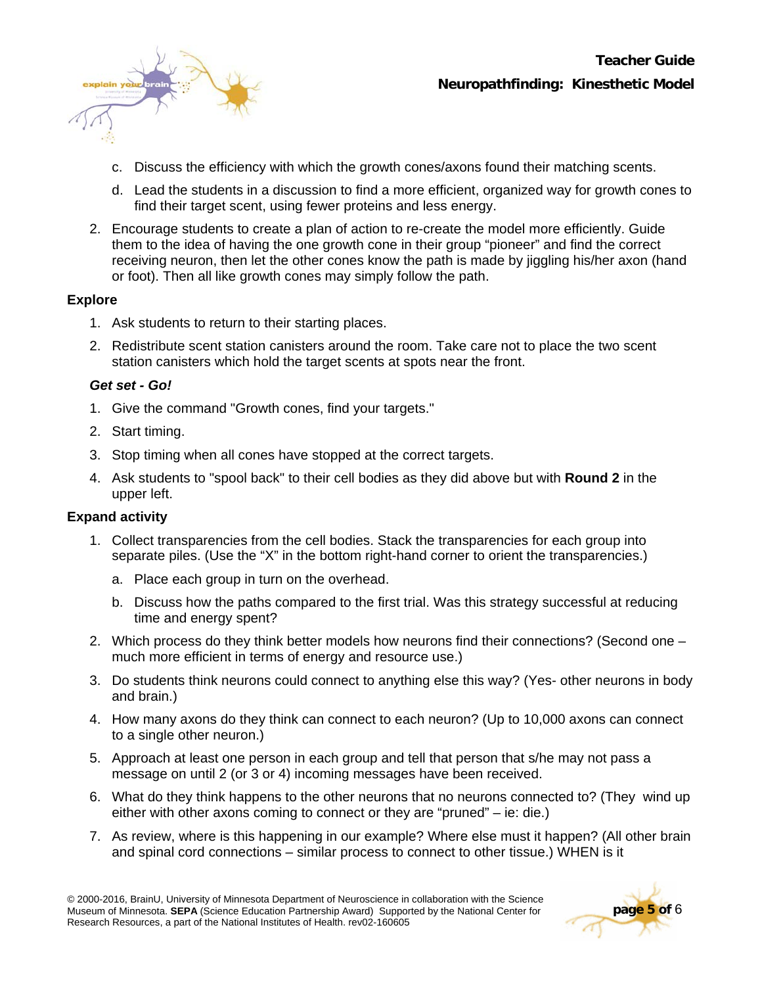

- c. Discuss the efficiency with which the growth cones/axons found their matching scents.
- d. Lead the students in a discussion to find a more efficient, organized way for growth cones to find their target scent, using fewer proteins and less energy.
- 2. Encourage students to create a plan of action to re-create the model more efficiently. Guide them to the idea of having the one growth cone in their group "pioneer" and find the correct receiving neuron, then let the other cones know the path is made by jiggling his/her axon (hand or foot). Then all like growth cones may simply follow the path.

### **Explore**

- 1. Ask students to return to their starting places.
- 2. Redistribute scent station canisters around the room. Take care not to place the two scent station canisters which hold the target scents at spots near the front.

#### *Get set - Go!*

- 1. Give the command "Growth cones, find your targets."
- 2. Start timing.
- 3. Stop timing when all cones have stopped at the correct targets.
- 4. Ask students to "spool back" to their cell bodies as they did above but with **Round 2** in the upper left.

### **Expand activity**

- 1. Collect transparencies from the cell bodies. Stack the transparencies for each group into separate piles. (Use the "X" in the bottom right-hand corner to orient the transparencies.)
	- a. Place each group in turn on the overhead.
	- b. Discuss how the paths compared to the first trial. Was this strategy successful at reducing time and energy spent?
- 2. Which process do they think better models how neurons find their connections? (Second one much more efficient in terms of energy and resource use.)
- 3. Do students think neurons could connect to anything else this way? (Yes- other neurons in body and brain.)
- 4. How many axons do they think can connect to each neuron? (Up to 10,000 axons can connect to a single other neuron.)
- 5. Approach at least one person in each group and tell that person that s/he may not pass a message on until 2 (or 3 or 4) incoming messages have been received.
- 6. What do they think happens to the other neurons that no neurons connected to? (They wind up either with other axons coming to connect or they are "pruned" – ie: die.)
- 7. As review, where is this happening in our example? Where else must it happen? (All other brain and spinal cord connections – similar process to connect to other tissue.) WHEN is it